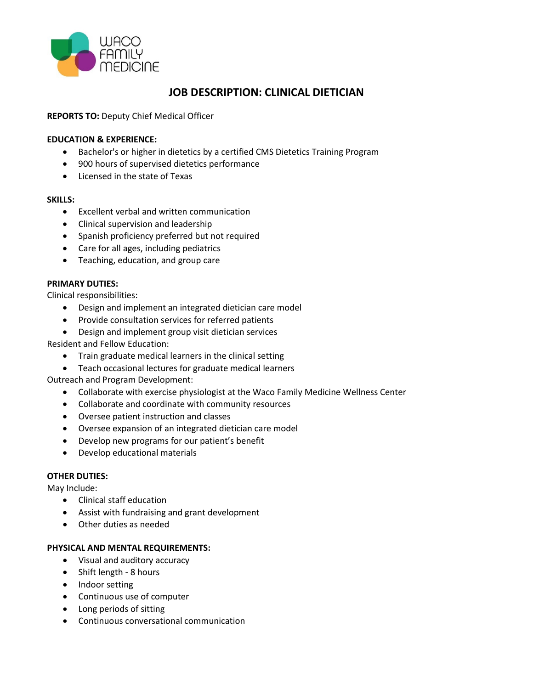

# **JOB DESCRIPTION: CLINICAL DIETICIAN**

# **REPORTS TO:** Deputy Chief Medical Officer

# **EDUCATION & EXPERIENCE:**

- Bachelor's or higher in dietetics by a certified CMS Dietetics Training Program
- 900 hours of supervised dietetics performance
- Licensed in the state of Texas

#### **SKILLS:**

- Excellent verbal and written communication
- Clinical supervision and leadership
- Spanish proficiency preferred but not required
- Care for all ages, including pediatrics
- Teaching, education, and group care

### **PRIMARY DUTIES:**

Clinical responsibilities:

- Design and implement an integrated dietician care model
- Provide consultation services for referred patients
- Design and implement group visit dietician services

Resident and Fellow Education:

- Train graduate medical learners in the clinical setting
- Teach occasional lectures for graduate medical learners

Outreach and Program Development:

- Collaborate with exercise physiologist at the Waco Family Medicine Wellness Center
- Collaborate and coordinate with community resources
- Oversee patient instruction and classes
- Oversee expansion of an integrated dietician care model
- Develop new programs for our patient's benefit
- Develop educational materials

### **OTHER DUTIES:**

May Include:

- Clinical staff education
- Assist with fundraising and grant development
- Other duties as needed

### **PHYSICAL AND MENTAL REQUIREMENTS:**

- Visual and auditory accuracy
- Shift length 8 hours
- Indoor setting
- Continuous use of computer
- Long periods of sitting
- Continuous conversational communication